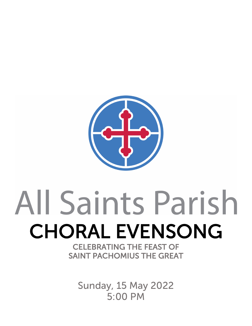

# All Saints Parish CHORAL EVENSONG SAINT PACHOMIUS THE GREAT

Sunday, 15 May 2022 5:00 PM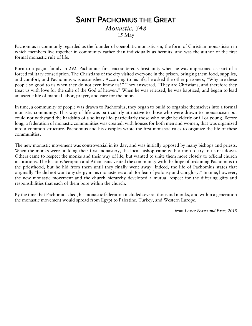## SAINT PACHOMIUS THE GREAT

### *Monastic, 348* 15 May

Pachomius is commonly regarded as the founder of coenobitic monasticism, the form of Christian monasticism in which members live together in community rather than individually as hermits, and was the author of the first formal monastic rule of life.

Born to a pagan family in 292, Pachomius first encountered Christianity when he was imprisoned as part of a forced military conscription. The Christians of the city visited everyone in the prison, bringing them food, supplies, and comfort, and Pachomius was astonished. According to his life, he asked the other prisoners, "Why are these people so good to us when they do not even know us?" They answered, "They are Christians, and therefore they treat us with love for the sake of the God of heaven." When he was released, he was baptized, and began to lead an ascetic life of manual labor, prayer, and care for the poor.

In time, a community of people was drawn to Pachomius, they began to build to organize themselves into a formal monastic community. This way of life was particularly attractive to those who were drawn to monasticism but could not withstand the hardship of a solitary life- particularly those who might be elderly or ill or young. Before long, a federation of monastic communities was created, with houses for both men and women, that was organized into a common structure. Pachomius and his disciples wrote the first monastic rules to organize the life of these communities.

The new monastic movement was controversial in its day, and was initially opposed by many bishops and priests. When the monks were building their first monastery, the local bishop came with a mob to try to tear it down. Others came to respect the monks and their way of life, but wanted to unite them more closely to official church institutions. The bishops Serapion and Athanasius visited the community with the hope of ordaining Pachomius to the priesthood, but he hid from them until they finally went away. Indeed, the life of Pachomius states that originally "he did not want any clergy in his monasteries at all for fear of jealousy and vainglory." In time, however, the new monastic movement and the church hierarchy developed a mutual respect for the differing gifts and responsibilities that each of them bore within the church.

By the time that Pachomius died, his monastic federation included several thousand monks, and within a generation the monastic movement would spread from Egypt to Palestine, Turkey, and Western Europe.

*— from Lesser Feasts and Fasts, 2018*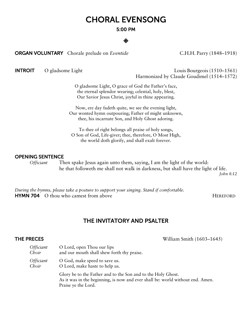# CHORAL EVENSONG

### 5:00 PM

◈

**ORGAN VOLUNTARY** Chorale prelude on *Eventide* C.H.H. Parry (1848–1918)

INTROIT O gladsome LightLouis Bourgeois (1510–1561) Harmonized by Claude Goudimel (1514–1572)

> O gladsome Light, O grace of God the Father's face, the eternal splendor wearing; celestial, holy, blest, Our Savior Jesus Christ, joyful in thine appearing.

Now, ere day fadeth quite, we see the evening light, Our wonted hymn outpouring; Father of might unknown, thee, his incarnate Son, and Holy Ghost adoring.

To thee of right belongs all praise of holy songs, O Son of God, Life-giver; thee, therefore, O Most High, the world doth glorify, and shall exalt forever.

### OPENING SENTENCE

*Officiant* Then spake Jesus again unto them, saying, I am the light of the world: he that followeth me shall not walk in darkness, but shall have the light of life. *John 8:12*

*During the hymns, please take a posture to support your singing. Stand if comfortable.*  **HYMN 704** O thou who camest from above **HEREFORD** 

### THE INVITATORY AND PSALTER

**THE PRECES** William Smith (1603–1645)

| <i>Officiant</i> | O Lord, open Thou our lips                                                                                                                                            |
|------------------|-----------------------------------------------------------------------------------------------------------------------------------------------------------------------|
| Choir            | and our mouth shall shew forth thy praise.                                                                                                                            |
| Officiant        | O God, make speed to save us.                                                                                                                                         |
| Choir            | O Lord, make haste to help us.                                                                                                                                        |
|                  | Glory be to the Father and to the Son and to the Holy Ghost.<br>As it was in the beginning, is now and ever shall be: world without end. Amen.<br>Praise ye the Lord. |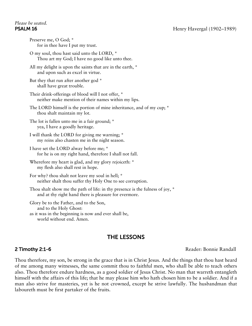### PSALM 16 Henry Havergal (1902–1989)

# *Please be seated.*

| Preserve me, O God; *<br>for in thee have I put my trust.                                                                              |
|----------------------------------------------------------------------------------------------------------------------------------------|
| O my soul, thou hast said unto the LORD, *<br>Thou art my God; I have no good like unto thee.                                          |
| All my delight is upon the saints that are in the earth, *<br>and upon such as excel in virtue.                                        |
| But they that run after another god *<br>shall have great trouble.                                                                     |
| Their drink-offerings of blood will I not offer, *<br>neither make mention of their names within my lips.                              |
| The LORD himself is the portion of mine inheritance, and of my cup; *<br>thou shalt maintain my lot.                                   |
| The lot is fallen unto me in a fair ground; *<br>yea, I have a goodly heritage.                                                        |
| I will thank the LORD for giving me warning; *<br>my reins also chasten me in the night season.                                        |
| I have set the LORD alway before me; *<br>for he is on my right hand, therefore I shall not fall.                                      |
| Wherefore my heart is glad, and my glory rejoiceth: *<br>my flesh also shall rest in hope.                                             |
| For why? thou shalt not leave my soul in hell; *<br>neither shalt thou suffer thy Holy One to see corruption.                          |
| Thou shalt show me the path of life: in thy presence is the fulness of joy, *<br>and at thy right hand there is pleasure for evermore. |
| Glory be to the Father, and to the Son,<br>and to the Holy Ghost:<br>as it was in the beginning is now and ever shall be,              |

world without end. Amen.

### THE LESSONS

2 Timothy 2:1-6 Reader: Bonnie Randall

Thou therefore, my son, be strong in the grace that is in Christ Jesus. And the things that thou hast heard of me among many witnesses, the same commit thou to faithful men, who shall be able to teach others also. Thou therefore endure hardness, as a good soldier of Jesus Christ. No man that warreth entangleth himself with the affairs of this life; that he may please him who hath chosen him to be a soldier. And if a man also strive for masteries, yet is he not crowned, except he strive lawfully. The husbandman that laboureth must be first partaker of the fruits.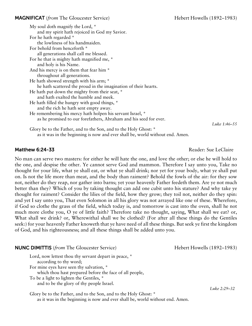### **MAGNIFICAT** (*from* The Gloucester Service) Hebert Howells (1892–1983)

| My soul doth magnify the Lord, *                                  |  |  |
|-------------------------------------------------------------------|--|--|
| and my spirit hath rejoiced in God my Savior.                     |  |  |
| For he hath regarded *                                            |  |  |
| the lowliness of his handmaiden.                                  |  |  |
| For behold from henceforth *                                      |  |  |
| all generations shall call me blessed.                            |  |  |
| For he that is mighty hath magnified me, *                        |  |  |
| and holy is his Name.                                             |  |  |
| And his mercy is on them that fear him *                          |  |  |
| throughout all generations.                                       |  |  |
| He hath showed strength with his arm; *                           |  |  |
| he hath scattered the proud in the imagination of their hearts.   |  |  |
| He hath put down the mighty from their seat, *                    |  |  |
| and hath exalted the humble and meek.                             |  |  |
| He hath filled the hungry with good things, *                     |  |  |
| and the rich he hath sent empty away.                             |  |  |
| He remembering his mercy hath holpen his servant Israel, *        |  |  |
| as he promised to our forefathers, Abraham and his seed for ever. |  |  |
| Glory be to the Father, and to the Son, and to the Holy Ghost: *  |  |  |

as it was in the beginning is now and ever shall be, world without end. Amen.

Matthew 6:24-33 **Matthew 6:24-33** And the set of the set of the set of the set of the set of the set of the set of the set of the set of the set of the set of the set of the set of the set of the set of the set of the set

*Luke 1:46–55*

No man can serve two masters: for either he will hate the one, and love the other; or else he will hold to the one, and despise the other. Ye cannot serve God and mammon. Therefore I say unto you, Take no thought for your life, what ye shall eat, or what ye shall drink; nor yet for your body, what ye shall put on. Is not the life more than meat, and the body than raiment? Behold the fowls of the air: for they sow not, neither do they reap, nor gather into barns; yet your heavenly Father feedeth them. Are ye not much better than they? Which of you by taking thought can add one cubit unto his stature? And why take ye thought for raiment? Consider the lilies of the field, how they grow; they toil not, neither do they spin: and yet I say unto you, That even Solomon in all his glory was not arrayed like one of these. Wherefore, if God so clothe the grass of the field, which today is, and tomorrow is cast into the oven, shall he not much more clothe you, O ye of little faith? Therefore take no thought, saying, What shall we eat? or, What shall we drink? or, Wherewithal shall we be clothed? (For after all these things do the Gentiles seek:) for your heavenly Father knoweth that ye have need of all these things. But seek ye first the kingdom of God, and his righteousness; and all these things shall be added unto you.

### **NUNC DIMITTIS** (*from* The Gloucester Service) **Hebert Howells** (1892–1983)

Lord, now lettest thou thy servant depart in peace,  $*$  according to thy word; For mine eyes have seen thy salvation, \* which thou hast prepared before the face of all people,

To be a light to lighten the Gentiles, \*

and to be the glory of thy people Israel.

Glory be to the Father, and to the Son, and to the Holy Ghost: \* as it was in the beginning is now and ever shall be, world without end. Amen.

*Luke 2:29–32*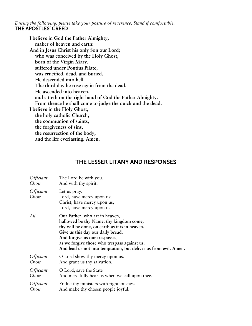*During the following, please take your posture of reverence. Stand if comfortable.* THE APOSTLES' CREED

**I believe in God the Father Almighty, maker of heaven and earth: And in Jesus Christ his only Son our Lord; who was conceived by the Holy Ghost, born of the Virgin Mary, suffered under Pontius Pilate, was crucified, dead, and buried. He descended into hell. The third day he rose again from the dead. He ascended into heaven, and sitteth on the right hand of God the Father Almighty. From thence he shall come to judge the quick and the dead. I believe in the Holy Ghost, the holy catholic Church, the communion of saints, the forgiveness of sins, the resurrection of the body, and the life everlasting. Amen.**

### THE LESSER LITANY AND RESPONSES

| <i><b>Officiant</b></i>          | The Lord be with you.                                                                                                                                                                                                                                                                                                  |
|----------------------------------|------------------------------------------------------------------------------------------------------------------------------------------------------------------------------------------------------------------------------------------------------------------------------------------------------------------------|
| Choir                            | And with thy spirit.                                                                                                                                                                                                                                                                                                   |
| <i><b>Officiant</b></i><br>Choir | Let us pray.<br>Lord, have mercy upon us;<br>Christ, have mercy upon us;<br>Lord, have mercy upon us.                                                                                                                                                                                                                  |
| All                              | Our Father, who art in heaven,<br>hallowed be thy Name, thy kingdom come,<br>thy will be done, on earth as it is in heaven.<br>Give us this day our daily bread.<br>And forgive us our trespasses,<br>as we forgive those who trespass against us.<br>And lead us not into temptation, but deliver us from evil. Amen. |
| Officiant                        | O Lord show thy mercy upon us.                                                                                                                                                                                                                                                                                         |
| Choir                            | And grant us thy salvation.                                                                                                                                                                                                                                                                                            |
| Officiant                        | O Lord, save the State                                                                                                                                                                                                                                                                                                 |
| Choir                            | And mercifully hear us when we call upon thee.                                                                                                                                                                                                                                                                         |
| Officiant                        | Endue thy ministers with righteousness.                                                                                                                                                                                                                                                                                |
| Choir                            | And make thy chosen people joyful.                                                                                                                                                                                                                                                                                     |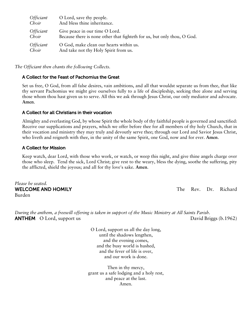| <i>Officiant</i>        | O Lord, save thy people.                                                |
|-------------------------|-------------------------------------------------------------------------|
| Choir                   | And bless thine inheritance.                                            |
| <i><b>Officiant</b></i> | Give peace in our time O Lord.                                          |
| Choir                   | Because there is none other that fighteth for us, but only thou, O God. |
| <i><b>Officiant</b></i> | O God, make clean our hearts within us.                                 |
| Choir                   | And take not thy Holy Spirit from us.                                   |

*The Officiant then chants the following Collects.*

### A Collect for the Feast of Pachomius the Great

Set us free, O God, from all false desires, vain ambitions, and all that wouldst separate us from thee, that like thy servant Pachomius we might give ourselves fully to a life of discipleship, seeking thee alone and serving those whom thou hast given us to serve. All this we ask through Jesus Christ, our only mediator and advocate. **Amen**.

### A Collect for all Christians in their vocation

Almighty and everlasting God, by whose Spirit the whole body of thy faithful people is governed and sanctified: Receive our supplications and prayers, which we offer before thee for all members of thy holy Church, that in their vocation and ministry they may truly and devoutly serve thee; through our Lord and Savior Jesus Christ, who liveth and reigneth with thee, in the unity of the same Spirit, one God, now and for ever. **Amen**.

### A Collect for Mission

Keep watch, dear Lord, with those who work, or watch, or weep this night, and give thine angels charge over those who sleep. Tend the sick, Lord Christ; give rest to the weary, bless the dying, soothe the suffering, pity the afflicted, shield the joyous; and all for thy love's sake. **Amen**.

*Please be seated.* WELCOME AND HOMILY **WELCOME AND HOMILY The Rev. Dr. Richard** Burden

*During the anthem, a freewill offering is taken in support of the Music Ministry at All Saints Parish.* **ANTHEM** O Lord, support us **David Briggs (b.1962)** David Briggs (b.1962)

O Lord, support us all the day long, until the shadows lengthen, and the evening comes, and the busy world is hushed, and the fever of life is over, and our work is done.

Then in thy mercy, grant us a safe lodging and a holy rest, and peace at the last. Amen.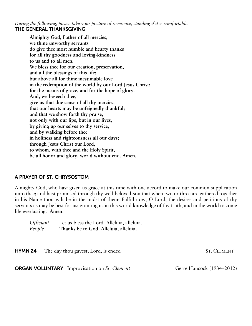*During the following, please take your posture of reverence, standing if it is comfortable.* THE GENERAL THANKSGIVING

**Almighty God, Father of all mercies, we thine unworthy servants do give thee most humble and hearty thanks for all thy goodness and loving-kindness to us and to all men. We bless thee for our creation, preservation, and all the blessings of this life; but above all for thine inestimable love in the redemption of the world by our Lord Jesus Christ; for the means of grace, and for the hope of glory. And, we beseech thee, give us that due sense of all thy mercies, that our hearts may be unfeignedly thankful; and that we show forth thy praise, not only with our lips, but in our lives, by giving up our selves to thy service, and by walking before thee in holiness and righteousness all our days; through Jesus Christ our Lord, to whom, with thee and the Holy Spirit, be all honor and glory, world without end. Amen.**

### A PRAYER OF ST. CHRYSOSTOM

Almighty God, who hast given us grace at this time with one accord to make our common supplication unto thee; and hast promised through thy well-beloved Son that when two or three are gathered together in his Name thou wilt be in the midst of them: Fulfill now, O Lord, the desires and petitions of thy servants as may be best for us; granting us in this world knowledge of thy truth, and in the world to come life everlasting. **Amen**.

*Officiant* Let us bless the Lord. Alleluia, alleluia. *People* **Thanks be to God. Alleluia, alleluia.**

**HYMN 24** The day thou gavest, Lord, is ended ST. CLEMENT

**ORGAN VOLUNTARY** Improvisation on *St. Clement* Gerre Hancock (1934–2012)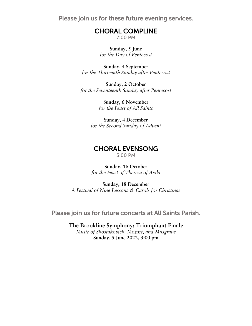Please join us for these future evening services.

# CHORAL COMPLINE

**Sunday, 5 June** *for the Day of Pentecost*

**Sunday, 4 September** *for the Thirteenth Sunday after Pentecost*

**Sunday, 2 October** *for the Seventeenth Sunday after Pentecost*

> **Sunday, 6 November** *for the Feast of All Saints*

**Sunday, 4 December** *for the Second Sunday of Advent*

# CHORAL EVENSONG

### **Sunday, 16 October** *for the Feast of Theresa of Avila*

**Sunday, 18 December** *A Festival of Nine Lessons & Carols for Christmas*

Please join us for future concerts at All Saints Parish.

**The Brookline Symphony: Triumphant Finale** *Music of Shostakovich, Mozart, and Musgrave* **Sunday, 5 June 2022, 3:00 pm**